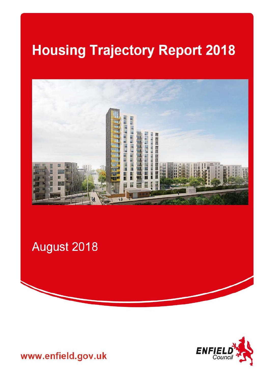# **Housing Trajectory Report 2018**



August 2018



www.enfield.gov.uk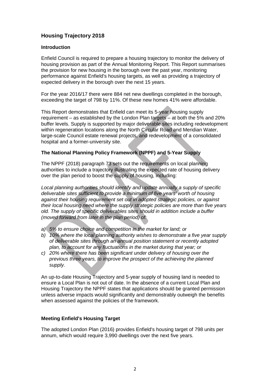# **Housing Trajectory 2018**

## **Introduction**

Enfield Council is required to prepare a housing trajectory to monitor the delivery of housing provision as part of the Annual Monitoring Report. This Report summarises the provision for new housing in the borough over the past year, monitoring performance against Enfield's housing targets, as well as providing a trajectory of expected delivery in the borough over the next 15 years.

For the year 2016/17 there were 884 net new dwellings completed in the borough, exceeding the target of 798 by 11%. Of these new homes 41% were affordable.

This Report demonstrates that Enfield can meet its 5-year housing supply requirement – as established by the London Plan targets – at both the 5% and 20% buffer levels. Supply is supported by major deliverable sites including redevelopment within regeneration locations along the North Circular Road and Meridian Water, large-scale Council estate renewal projects, and redevelopment of a consolidated hospital and a former-university site.

# **The National Planning Policy Framework (NPPF) and 5-Year Supply**

The NPPF (2018) paragraph 73 sets out the requirements on local planning authorities to include a trajectory illustrating the expected rate of housing delivery over the plan period to boost the supply of housing, including:

*Local planning authorities should identify and update annually a supply of specific deliverable sites sufficient to provide a minimum of five years' worth of housing against their housing requirement set out in adopted strategic policies, or against their local housing need where the supply strategic policies are more than five years old. The supply of specific deliverables sites should in addition include a buffer (moved forward from later in the plan period) of:* 

- *a) 5% to ensure choice and competition in the market for land; or*
- *b) 10% where the local planning authority wishes to demonstrate a five year supply of deliverable sites through an annual position statement or recently adopted plan, to account for any fluctuations in the market during that year; or*
- *c) 20% where there has been significant under delivery of housing over the previous three years, to improve the prospect of the achieving the planned supply.*

An up-to-date Housing Trajectory and 5-year supply of housing land is needed to ensure a Local Plan is not out of date. In the absence of a current Local Plan and Housing Trajectory the NPPF states that applications should be granted permission unless adverse impacts would significantly and demonstrably outweigh the benefits when assessed against the policies of the framework.

# **Meeting Enfield's Housing Target**

The adopted London Plan (2016) provides Enfield's housing target of 798 units per annum, which would require 3,990 dwellings over the next five years.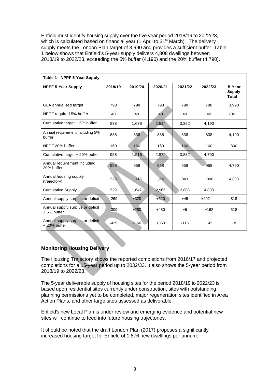Enfield must identify housing supply over the five year period 2018/19 to 2022/23, which is calculated based on financial year (1 April to 31<sup>st</sup> March). The delivery supply meets the London Plan target of 3,990 and provides a sufficient buffer. Table 1 below shows that Enfield's 5-year supply delivers 4,808 dwellings between 2018/19 to 2022/23, exceeding the 5% buffer (4,190) and the 20% buffer (4,790).

| Table 1 - NPPF 5-Year Supply                    |         |         |         |         |         |                                         |  |  |  |
|-------------------------------------------------|---------|---------|---------|---------|---------|-----------------------------------------|--|--|--|
| <b>NPPF 5-Year Supply</b>                       | 2018/19 | 2019/20 | 2020/21 | 2021/22 | 2022/23 | 5 Year<br><b>Supply</b><br><b>Total</b> |  |  |  |
| <b>GLA</b> annualised target                    | 798     | 798     | 798     | 798     | 798     | 3,990                                   |  |  |  |
| NPPF required 5% buffer                         | 40      | 40      | 40      | 40      | 40      | 200                                     |  |  |  |
| Cumulative target + 5% buffer                   | 838     | 1,676   | 2,514   | 3,352   | 4,190   |                                         |  |  |  |
| Annual requirement including 5%<br>buffer       | 838     | 838     | 838     | 838     | 838     | 4.190                                   |  |  |  |
| NPPF 20% buffer                                 | 160     | 160     | 160     | 160     | 160     | 800                                     |  |  |  |
| Cumulative target + 20% buffer                  | 958     | 1,916   | 2,874   | 3,832   | 4,790   |                                         |  |  |  |
| Annual requirement including<br>20% buffer      | 958     | 958     | 958     | 958     | 958     | 4,790                                   |  |  |  |
| Annual housing supply<br>(trajectory)           | 529     | 1,118   | 1,318   | 843     | 1000    | 4,808                                   |  |  |  |
| <b>Cumulative Supply</b>                        | 529     | 1,647   | 2,965   | 3,808   | 4,808   |                                         |  |  |  |
| Annual supply surplus or deficit                | $-269$  | $+320$  | $+520$  | $+45$   | $+202$  | 818                                     |  |  |  |
| Annual supply surplus or deficit<br>+5% buffer  | $-309$  | $+280$  | $+480$  | $+5$    | $+162$  | 618                                     |  |  |  |
| Annual supply surplus or deficit<br>+20% buffer | $-429$  | $+160$  | $+360$  | $-115$  | $+42$   | 18                                      |  |  |  |

# **Monitoring Housing Delivery**

The Housing Trajectory shows the reported completions from 2016/17 and projected completions for a 15-year period up to 2032/33. It also shows the 5-year period from 2018/19 to 2022/23.

The 5-year deliverable supply of housing sites for the period 2018/19 to 2022/23 is based upon residential sites currently under construction, sites with outstanding planning permissions yet to be completed, major regeneration sites identified in Area Action Plans, and other large sites assessed as deliverable.

Enfield's new Local Plan is under review and emerging evidence and potential new sites will continue to feed into future housing trajectories.

It should be noted that the draft London Plan (2017) proposes a significantly increased housing target for Enfield of 1,876 new dwellings per annum.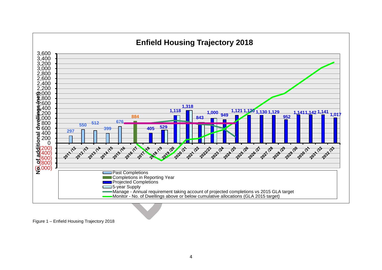

Figure 1 – Enfield Housing Trajectory 2018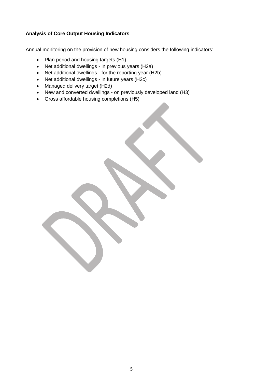# **Analysis of Core Output Housing Indicators**

Annual monitoring on the provision of new housing considers the following indicators:

- Plan period and housing targets (H1)
- Net additional dwellings in previous years (H2a)
- Net additional dwellings for the reporting year (H2b)
- Net additional dwellings in future years (H2c)
- Managed delivery target (H2d)
- New and converted dwellings on previously developed land (H3)
- Gross affordable housing completions (H5)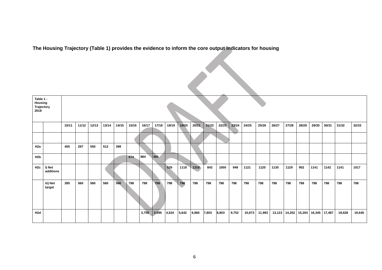**The Housing Trajectory (Table 1) provides the evidence to inform the core output indicators for housing**

| Table 1 -<br>Housing<br>Trajectory<br>2018 |                     |       |       |       |       |       |       |       |       |       |       |       |       |       |       |        |        |        |       |               |        |        |        |        |
|--------------------------------------------|---------------------|-------|-------|-------|-------|-------|-------|-------|-------|-------|-------|-------|-------|-------|-------|--------|--------|--------|-------|---------------|--------|--------|--------|--------|
|                                            |                     | 10/11 | 11/12 | 12/13 | 13/14 | 14/15 | 15/16 | 16/17 | 17/18 | 18/19 | 19/20 | 20/21 | 21/22 | 22/23 | 23/24 | 24/25  | 25/26  | 26/27  | 27/28 | 28/29         | 29/30  | 30/31  | 31/32  | 32/33  |
|                                            |                     |       |       |       |       |       |       |       |       |       |       |       |       |       |       |        |        |        |       |               |        |        |        |        |
| H <sub>2a</sub>                            |                     | 455   | 297   | 550   | 512   | 399   |       |       |       |       |       |       |       |       |       |        |        |        |       |               |        |        |        |        |
| H <sub>2</sub> b                           |                     |       |       |       |       |       | 674   | 884   | 405   |       |       |       |       |       |       |        |        |        |       |               |        |        |        |        |
| H2c                                        | I) Net<br>additions |       |       |       |       |       |       |       |       | 529   | 1118  | 1318  | 843   | 1000  | 949   | 1121   | 1120   | 1130   | 1129  | 952           | 1141   | 1142   | 1141   | 1017   |
|                                            | iii) Net<br>target  | 395   | 560   | 560   | 560   | 560   | 798   | 798   | 798   | 798   | 798   | 798   | 798   | 798   | 798   | 798    | 798    | 798    | 798   | 798           | 798    | 798    | 798    | 798    |
| H <sub>2d</sub>                            |                     |       |       |       |       |       |       | 3,758 | 3,995 | 4,524 | 5,642 | 6,960 | 7,803 | 8,803 | 9,752 | 10,873 | 11,993 | 13,123 |       | 14,252 15,204 | 16,345 | 17,487 | 18,628 | 19,645 |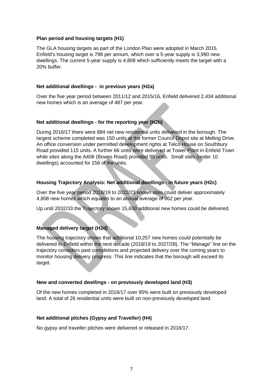#### **Plan period and housing targets (H1)**

The GLA housing targets as part of the London Plan were adopted in March 2015. Enfield's housing target is 798 per annum, which over a 5-year supply is 3,990 new dwellings. The current 5-year supply is 4,808 which sufficiently meets the target with a 20% buffer.

#### **Net additional dwellings - in previous years (H2a)**

Over the five year period between 2011/12 and 2015/16, Enfield delivered 2,434 additional new homes which is an average of 487 per year.

#### **Net additional dwellings - for the reporting year (H2b)**

During 2016/17 there were 884 net new residential units delivered in the borough. The largest scheme completed was 150 units at the former Council Depot site at Melling Drive. An office conversion under permitted development rights at Telco House on Southbury Road provided 115 units. A further 66 units were delivered at Tower Point in Enfield Town while sites along the A406 (Bowes Road) provided 95 units. Small sites (under 10 dwellings) accounted for 158 of the units.

#### **Housing Trajectory Analysis: Net additional dwellings - in future years (H2c)**

Over the five year period 2018/19 to 2022/23 known sites could deliver approximately 4,808 new homes which equates to an annual average of 962 per year.

Up until 2032/33 the Trajectory shows 15,650 additional new homes could be delivered.

# **Managed delivery target (H2d)**

The housing trajectory shows that additional 10,257 new homes could potentially be delivered in Enfield within the next decade (2018/19 to 2027/28). The "Manage" line on the trajectory considers past completions and projected delivery over the coming years to monitor housing delivery progress. This line indicates that the borough will exceed its target.

#### **New and converted dwellings - on previously developed land (H3)**

Of the new homes completed in 2016/17 over 95% were built on previously developed land. A total of 26 residential units were built on non-previously developed land.

#### **Net additional pitches (Gypsy and Traveller) (H4)**

No gypsy and traveller pitches were delivered or released in 2016/17.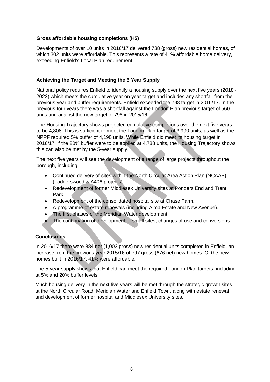#### **Gross affordable housing completions (H5)**

Developments of over 10 units in 2016/17 delivered 738 (gross) new residential homes, of which 302 units were affordable. This represents a rate of 41% affordable home delivery, exceeding Enfield's Local Plan requirement.

## **Achieving the Target and Meeting the 5 Year Supply**

National policy requires Enfield to identify a housing supply over the next five years (2018 - 2023) which meets the cumulative year on year target and includes any shortfall from the previous year and buffer requirements. Enfield exceeded the 798 target in 2016/17. In the previous four years there was a shortfall against the London Plan previous target of 560 units and against the new target of 798 in 2015/16.

The Housing Trajectory shows projected cumulative completions over the next five years to be 4,808. This is sufficient to meet the London Plan target of 3,990 units, as well as the NPPF required 5% buffer of 4,190 units. While Enfield did meet its housing target in 2016/17, if the 20% buffer were to be applied at 4,788 units, the Housing Trajectory shows this can also be met by the 5-year supply.

The next five years will see the development of a range of large projects throughout the borough, including:

- Continued delivery of sites within the North Circular Area Action Plan (NCAAP) (Ladderswood & A406 projects).
- Redevelopment of former Middlesex University sites at Ponders End and Trent Park.
- Redevelopment of the consolidated hospital site at Chase Farm.
- A programme of estate renewals (including Alma Estate and New Avenue).
- The first phases of the Meridian Water development.
- The continuation of development of small sites, changes of use and conversions.

# **Conclusions**

In 2016/17 there were 884 net (1,003 gross) new residential units completed in Enfield, an increase from the previous year 2015/16 of 797 gross (676 net) new homes. Of the new homes built in 2016/17, 41% were affordable.

The 5-year supply shows that Enfield can meet the required London Plan targets, including at 5% and 20% buffer levels.

Much housing delivery in the next five years will be met through the strategic growth sites at the North Circular Road, Meridian Water and Enfield Town, along with estate renewal and development of former hospital and Middlesex University sites.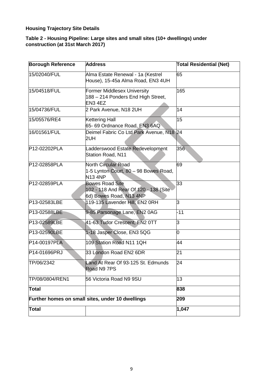# **Housing Trajectory Site Details**

## **Table 2 - Housing Pipeline: Large sites and small sites (10+ dwellings) under construction (at 31st March 2017)**

| <b>Borough Reference</b> | <b>Address</b>                                                                             | <b>Total Residential (Net)</b> |  |  |  |  |
|--------------------------|--------------------------------------------------------------------------------------------|--------------------------------|--|--|--|--|
| 15/02040/FUL             | Alma Estate Renewal - 1a (Kestrel<br>House), 15-45a Alma Road, EN3 4UH                     | 65                             |  |  |  |  |
| 15/04518/FUL             | <b>Former Middlesex University</b><br>188 - 214 Ponders End High Street,<br>EN3 4EZ        | 165                            |  |  |  |  |
| 15/04736/FUL             | 2 Park Avenue, N18 2UH                                                                     |                                |  |  |  |  |
| 15/05576/RE4             | <b>Kettering Hall</b><br>65- 69 Ordnance Road, EN3 6AQ                                     | 15                             |  |  |  |  |
| 16/01561/FUL             | Deimel Fabric Co Ltd Park Avenue, N18 24<br>2UH                                            |                                |  |  |  |  |
| P12-02202PLA             | Ladderswood Estate Redevelopment<br>Station Road, N11                                      | 356                            |  |  |  |  |
| P12-02858PLA             | North Circular Road<br>1-5 Lynton Court, 80 - 98 Bowes Road,<br><b>N13 4NP</b>             | 69                             |  |  |  |  |
| P12-02859PLA             | <b>Bowes Road Site</b><br>102 - 118 And Rear Of 120 - 138 (Site<br>6d) Bowes Road, N13 4NP | 33                             |  |  |  |  |
| P13-02583LBE             | 119-135 Lavender Hill, EN2 ORH                                                             | 3                              |  |  |  |  |
| P13-02588LBE             | 9-85 Parsonage Lane, EN2 0AG                                                               | $-11$                          |  |  |  |  |
| P13-02589LBE             | 41-63 Tudor Crescent, EN2 0TT                                                              | 3                              |  |  |  |  |
| P13-02590LBE             | 1-18 Jasper Close, EN3 5QG                                                                 | 0                              |  |  |  |  |
| P14-00197PLA             | 109 Station Road N11 1QH                                                                   | 44                             |  |  |  |  |
| P14-01696PRJ             | 33 London Road EN2 6DR                                                                     | 21                             |  |  |  |  |
| TP/06/2342               | Land At Rear Of 93-125 St. Edmunds<br>Road N9 7PS                                          | 24                             |  |  |  |  |
| TP/08/0804/REN1          | 56 Victoria Road N9 9SU                                                                    | 13                             |  |  |  |  |
| <b>Total</b>             |                                                                                            | 838                            |  |  |  |  |
|                          | Further homes on small sites, under 10 dwellings                                           | 209                            |  |  |  |  |
| <b>Total</b>             |                                                                                            | 1,047                          |  |  |  |  |